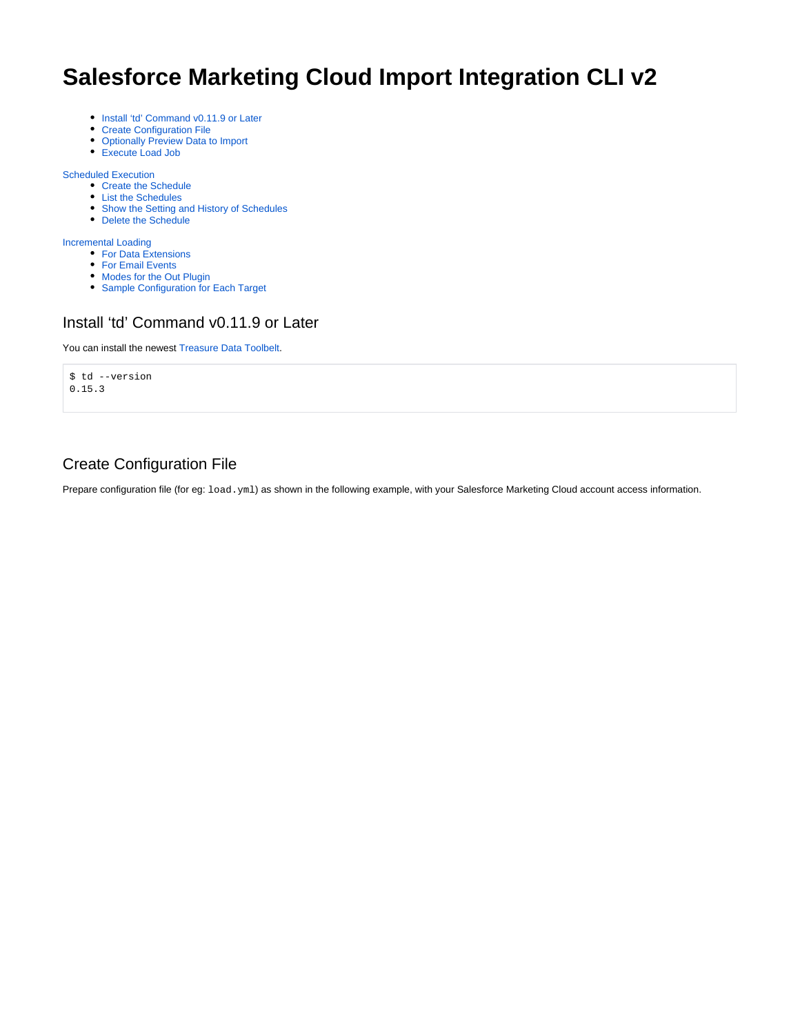# **Salesforce Marketing Cloud Import Integration CLI v2**

- [Install 'td' Command v0.11.9 or Later](#page-0-0)
- [Create Configuration File](#page-0-1)
- [Optionally Preview Data to Import](#page-1-0)
- [Execute Load Job](#page-1-1)

[Scheduled Execution](#page-2-0)

- [Create the Schedule](#page-2-1)
- [List the Schedules](#page-2-2)
- [Show the Setting and History of Schedules](#page-3-0)
- [Delete the Schedule](#page-3-1)

[Incremental Loading](#page-3-2)

- [For Data Extensions](#page-3-3)
- [For Email Events](#page-4-0)
- [Modes for the Out Plugin](#page-4-1)
- [Sample Configuration for Each Target](#page-4-2)

### <span id="page-0-0"></span>Install 'td' Command v0.11.9 or Later

You can install the newest [Treasure Data Toolbelt.](https://toolbelt.treasuredata.com/)

\$ td --version 0.15.3

### <span id="page-0-1"></span>Create Configuration File

Prepare configuration file (for eg:  $1$ oad.yml) as shown in the following example, with your Salesforce Marketing Cloud account access information.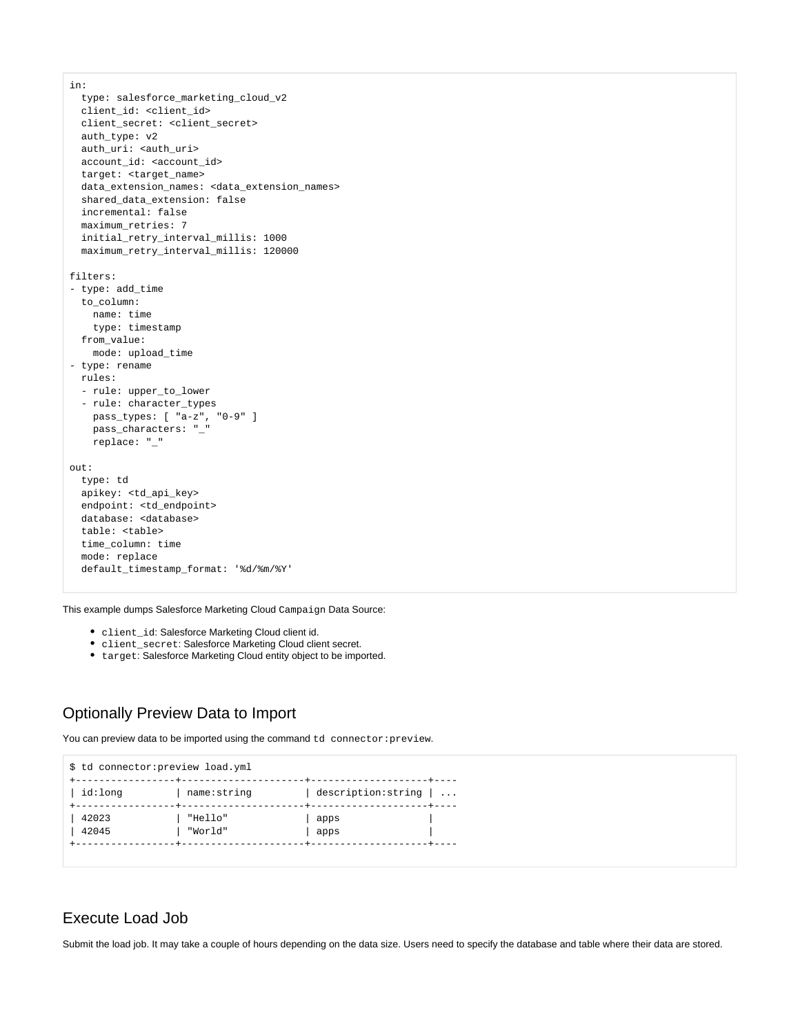```
in:
  type: salesforce_marketing_cloud_v2
 client id: <client id>
  client_secret: <client_secret>
  auth_type: v2
 auth uri: <auth uri>
  account_id: <account_id>
  target: <target_name>
 data extension names: <data extension names>
  shared_data_extension: false
  incremental: false
  maximum_retries: 7
  initial_retry_interval_millis: 1000
  maximum_retry_interval_millis: 120000
filters:
- type: add_time
  to_column:
    name: time
    type: timestamp
  from_value:
    mode: upload_time
- type: rename 
  rules:
 - rule: upper to lower
  - rule: character_types
    pass_types: [ "a-z", "0-9" ]
    pass_characters: "_"
    replace: "_" 
\bigcircut:
  type: td
  apikey: <td_api_key>
  endpoint: <td_endpoint>
  database: <database>
  table: <table>
  time_column: time
  mode: replace
  default_timestamp_format: '%d/%m/%Y'
```
This example dumps Salesforce Marketing Cloud Campaign Data Source:

- client\_id: Salesforce Marketing Cloud client id.
- client\_secret: Salesforce Marketing Cloud client secret.
- target: Salesforce Marketing Cloud entity object to be imported.

#### <span id="page-1-0"></span>Optionally Preview Data to Import

You can preview data to be imported using the command td connector: preview.



#### <span id="page-1-1"></span>Execute Load Job

Submit the load job. It may take a couple of hours depending on the data size. Users need to specify the database and table where their data are stored.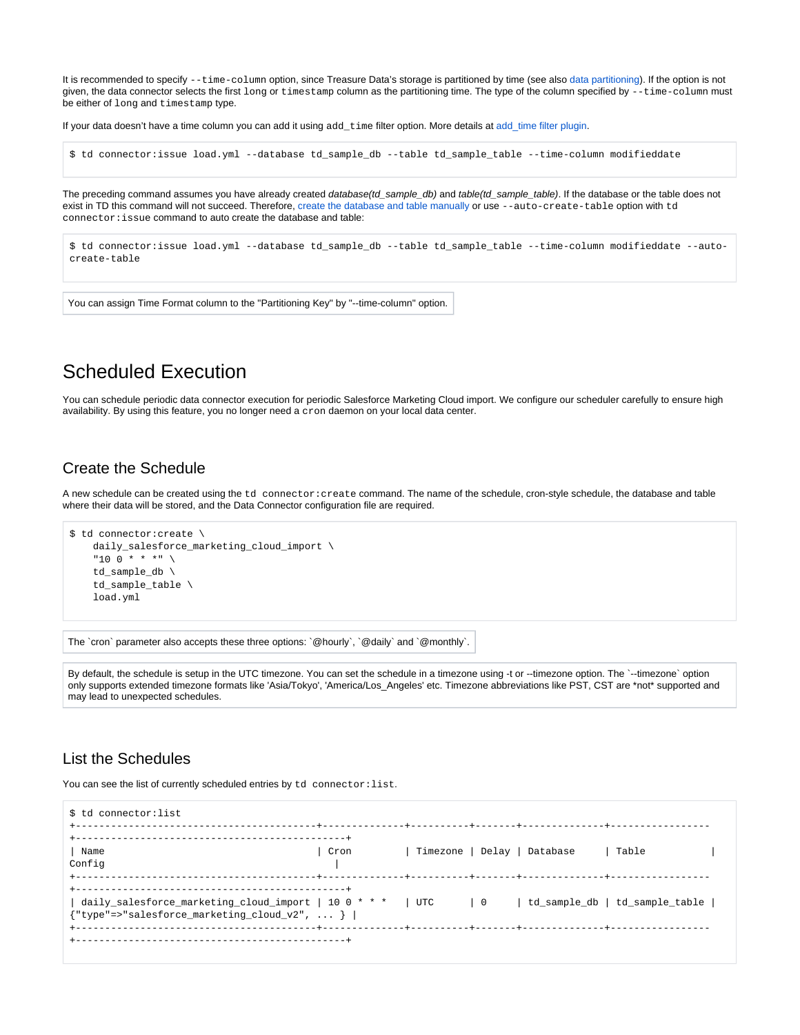It is recommended to specify --time-column option, since Treasure Data's storage is partitioned by time (see also [data partitioning\)](http://docs.treasuredata.com/display/PD/Data+Partitioning+in+Treasure+Data). If the option is not given, the data connector selects the first long or timestamp column as the partitioning time. The type of the column specified by  $-\text{time-column must}$ be either of long and timestamp type.

If your data doesn't have a time column you can add it using add\_time filter option. More details at [add\\_time filter plugin](http://docs.treasuredata.com/display/PD/add_time+Filter+Function).

\$ td connector:issue load.yml --database td\_sample\_db --table td\_sample\_table --time-column modifieddate

The preceding command assumes you have already created database(td\_sample\_db) and table(td\_sample\_table). If the database or the table does not exist in TD this command will not succeed. Therefore, [create the database and table manually](http://docs.treasuredata.com/display/PD/Database+and+Table+Management) or use --auto-create-table option with td connector:issue command to auto create the database and table:

\$ td connector:issue load.yml --database td\_sample\_db --table td\_sample\_table --time-column modifieddate --autocreate-table

You can assign Time Format column to the "Partitioning Key" by "--time-column" option.

## <span id="page-2-0"></span>Scheduled Execution

You can schedule periodic data connector execution for periodic Salesforce Marketing Cloud import. We configure our scheduler carefully to ensure high availability. By using this feature, you no longer need a cron daemon on your local data center.

#### <span id="page-2-1"></span>Create the Schedule

A new schedule can be created using the td connector: create command. The name of the schedule, cron-style schedule, the database and table where their data will be stored, and the Data Connector configuration file are required.

```
$ td connector:create \
    daily_salesforce_marketing_cloud_import \
     "10 0 * * *" \
     td_sample_db \
     td_sample_table \
     load.yml
```
The `cron` parameter also accepts these three options: `@hourly`, `@daily` and `@monthly`.

By default, the schedule is setup in the UTC timezone. You can set the schedule in a timezone using -t or --timezone option. The `--timezone` option only supports extended timezone formats like 'Asia/Tokyo', 'America/Los\_Angeles' etc. Timezone abbreviations like PST, CST are \*not\* supported and may lead to unexpected schedules.

#### <span id="page-2-2"></span>List the Schedules

You can see the list of currently scheduled entries by td connector: list.

| \$ td connector:list                                                                                                                                                    |      |                             |  |       |
|-------------------------------------------------------------------------------------------------------------------------------------------------------------------------|------|-----------------------------|--|-------|
| Name<br>Config                                                                                                                                                          | Cron | Timezone   Delay   Database |  | Table |
| daily_salesforce_marketing_cloud_import   10 0 * * *   UTC   0   td_sample_db   td_sample_table  <br>${\text{ "type":>} \text{ "salesforce\_marketing\_cloud_v2",  } }$ |      |                             |  |       |
|                                                                                                                                                                         |      |                             |  |       |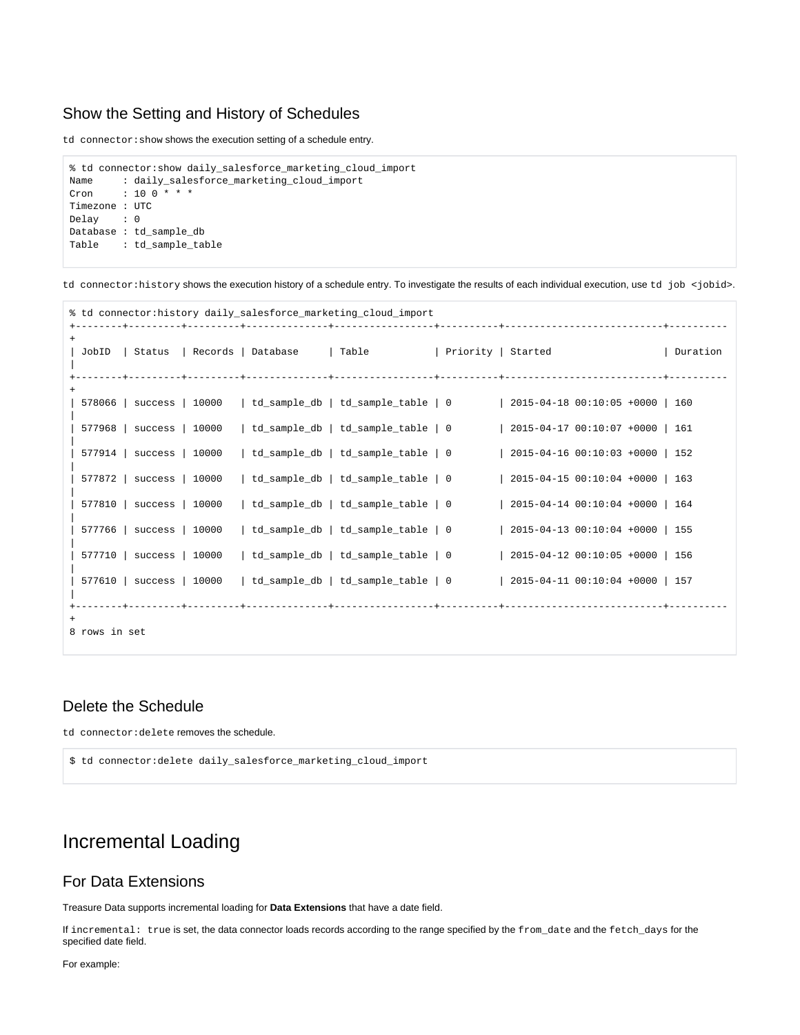#### <span id="page-3-0"></span>Show the Setting and History of Schedules

td connector: show shows the execution setting of a schedule entry.

```
% td connector:show daily_salesforce_marketing_cloud_import
Name : daily_salesforce_marketing_cloud_import
Cron : 10 0 * * *
Timezone : UTC
Delay : 0
Database : td_sample_db
Table : td_sample_table
```
td connector: history shows the execution history of a schedule entry. To investigate the results of each individual execution, use td job <jobid>.

|               |                            |  | % td connector: history daily_salesforce_marketing_cloud_import |                                                                                                   |          |
|---------------|----------------------------|--|-----------------------------------------------------------------|---------------------------------------------------------------------------------------------------|----------|
| $+$           |                            |  |                                                                 |                                                                                                   | Duration |
| $+$           |                            |  |                                                                 | $578066$   success   10000   td sample db   td sample table   0   2015-04-18 00:10:05 +0000   160 |          |
|               | $577968$   success   10000 |  |                                                                 | $td\_sample\_db$   $td\_sample\_table$   0 $\qquad$   2015-04-17 00:10:07 +0000   161             |          |
|               | $577914$   success   10000 |  | td_sample_db   td_sample_table   0                              | 2015-04-16 00:10:03 +0000   152                                                                   |          |
|               | $577872$   success   10000 |  | td sample db   td sample table   $0$                            | 2015-04-15 00:10:04 +0000   163                                                                   |          |
|               | $577810$   success   10000 |  | td_sample_db   td_sample_table   0                              | 2015-04-14 00:10:04 +0000   164                                                                   |          |
|               | $577766$   success   10000 |  | td_sample_db   td_sample_table   0                              | 2015-04-13 00:10:04 +0000   155                                                                   |          |
|               | 577710   success   10000   |  | td_sample_db   td_sample_table   0                              | 2015-04-12 00:10:05 +0000   156                                                                   |          |
|               | $577610$   success   10000 |  |                                                                 | td sample db   td sample table   0 $\vert$ 2015-04-11 00:10:04 +0000   157                        |          |
| 8 rows in set |                            |  |                                                                 |                                                                                                   |          |

#### <span id="page-3-1"></span>Delete the Schedule

td connector:delete removes the schedule.

```
$ td connector:delete daily_salesforce_marketing_cloud_import
```
## <span id="page-3-2"></span>Incremental Loading

#### <span id="page-3-3"></span>For Data Extensions

Treasure Data supports incremental loading for **Data Extensions** that have a date field.

If incremental: true is set, the data connector loads records according to the range specified by the from\_date and the fetch\_days for the specified date field.

For example: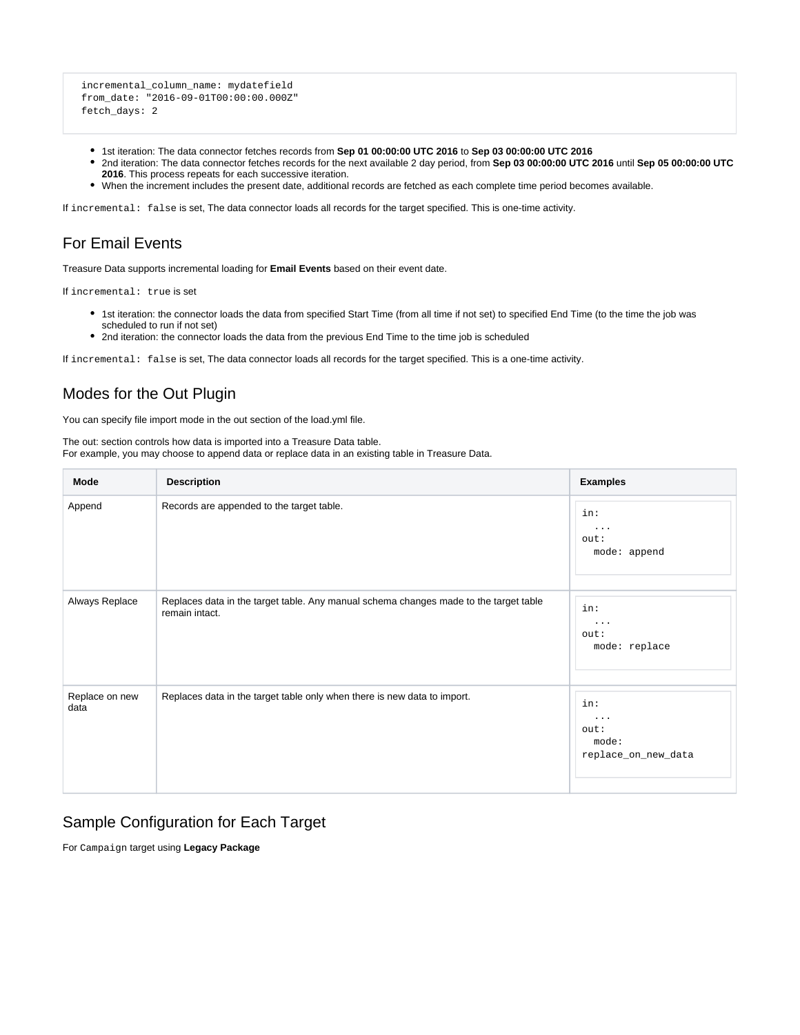```
 incremental_column_name: mydatefield
 from_date: "2016-09-01T00:00:00.000Z"
 fetch_days: 2
```
- 1st iteration: The data connector fetches records from **Sep 01 00:00:00 UTC 2016** to **Sep 03 00:00:00 UTC 2016**
- 2nd iteration: The data connector fetches records for the next available 2 day period, from **Sep 03 00:00:00 UTC 2016** until **Sep 05 00:00:00 UTC 2016**. This process repeats for each successive iteration.
- When the increment includes the present date, additional records are fetched as each complete time period becomes available.

If incremental: false is set, The data connector loads all records for the target specified. This is one-time activity.

### <span id="page-4-0"></span>For Email Events

Treasure Data supports incremental loading for **Email Events** based on their event date.

If incremental: true is set

- 1st iteration: the connector loads the data from specified Start Time (from all time if not set) to specified End Time (to the time the job was scheduled to run if not set)
- 2nd iteration: the connector loads the data from the previous End Time to the time job is scheduled

If incremental: false is set, The data connector loads all records for the target specified. This is a one-time activity.

### <span id="page-4-1"></span>Modes for the Out Plugin

You can specify file import mode in the out section of the load.yml file.

The out: section controls how data is imported into a Treasure Data table. For example, you may choose to append data or replace data in an existing table in Treasure Data.

| <b>Mode</b>            | <b>Description</b>                                                                                      | <b>Examples</b>                                  |
|------------------------|---------------------------------------------------------------------------------------------------------|--------------------------------------------------|
| Append                 | Records are appended to the target table.                                                               | in:<br>$\cdots$<br>out:<br>mode: append          |
| Always Replace         | Replaces data in the target table. Any manual schema changes made to the target table<br>remain intact. | in:<br>$\cdots$<br>out:<br>mode: replace         |
| Replace on new<br>data | Replaces data in the target table only when there is new data to import.                                | in:<br>.<br>out:<br>mode:<br>replace_on_new_data |

#### <span id="page-4-2"></span>Sample Configuration for Each Target

For Campaign target using **Legacy Package**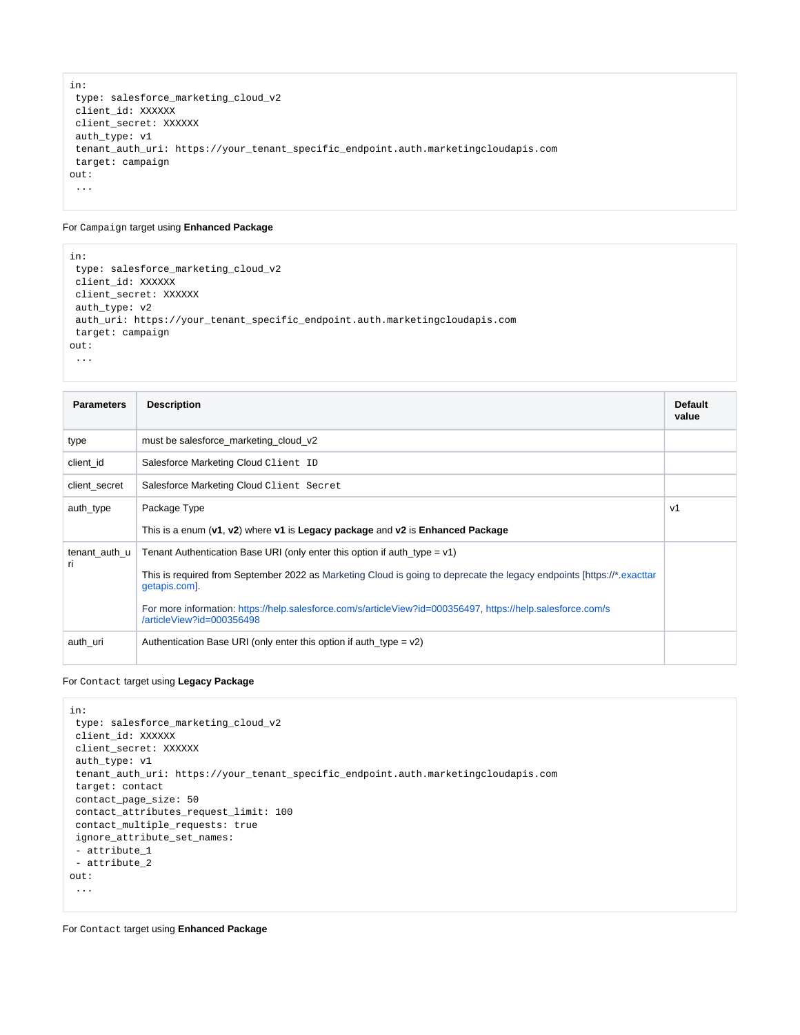```
in: 
 type: salesforce_marketing_cloud_v2
 client_id: XXXXXX 
 client_secret: XXXXXX 
 auth_type: v1
 tenant_auth_uri: https://your_tenant_specific_endpoint.auth.marketingcloudapis.com 
 target: campaign 
out: 
 ...
```
#### For Campaign target using **Enhanced Package**

```
in: 
 type: salesforce_marketing_cloud_v2
 client_id: XXXXXX 
 client_secret: XXXXXX 
 auth_type: v2
 auth_uri: https://your_tenant_specific_endpoint.auth.marketingcloudapis.com 
 target: campaign 
out: 
 ...
```

| <b>Parameters</b>    | <b>Description</b>                                                                                                                       | <b>Default</b><br>value |
|----------------------|------------------------------------------------------------------------------------------------------------------------------------------|-------------------------|
| type                 | must be salesforce_marketing_cloud_v2                                                                                                    |                         |
| client id            | Salesforce Marketing Cloud Client ID                                                                                                     |                         |
| client secret        | Salesforce Marketing Cloud Client Secret                                                                                                 |                         |
| auth_type            | Package Type                                                                                                                             | v1                      |
|                      | This is a enum $(v1, v2)$ where v1 is Legacy package and v2 is Enhanced Package                                                          |                         |
| tenant auth u<br>ri. | Tenant Authentication Base URI (only enter this option if auth type = $v1$ )                                                             |                         |
|                      | This is required from September 2022 as Marketing Cloud is going to deprecate the legacy endpoints [https://*.exacttar<br>getapis.com].  |                         |
|                      | For more information: https://help.salesforce.com/s/articleView?id=000356497, https://help.salesforce.com/s<br>/articleView?id=000356498 |                         |
| auth uri             | Authentication Base URI (only enter this option if auth type = $v2$ )                                                                    |                         |

#### For Contact target using **Legacy Package**

```
in:
 type: salesforce_marketing_cloud_v2 
 client_id: XXXXXX 
 client_secret: XXXXXX 
 auth_type: v1
 tenant_auth_uri: https://your_tenant_specific_endpoint.auth.marketingcloudapis.com 
 target: contact 
 contact_page_size: 50 
 contact_attributes_request_limit: 100 
 contact_multiple_requests: true 
 ignore_attribute_set_names: 
 - attribute_1 
 - attribute_2
out: 
  ...
```
For Contact target using **Enhanced Package**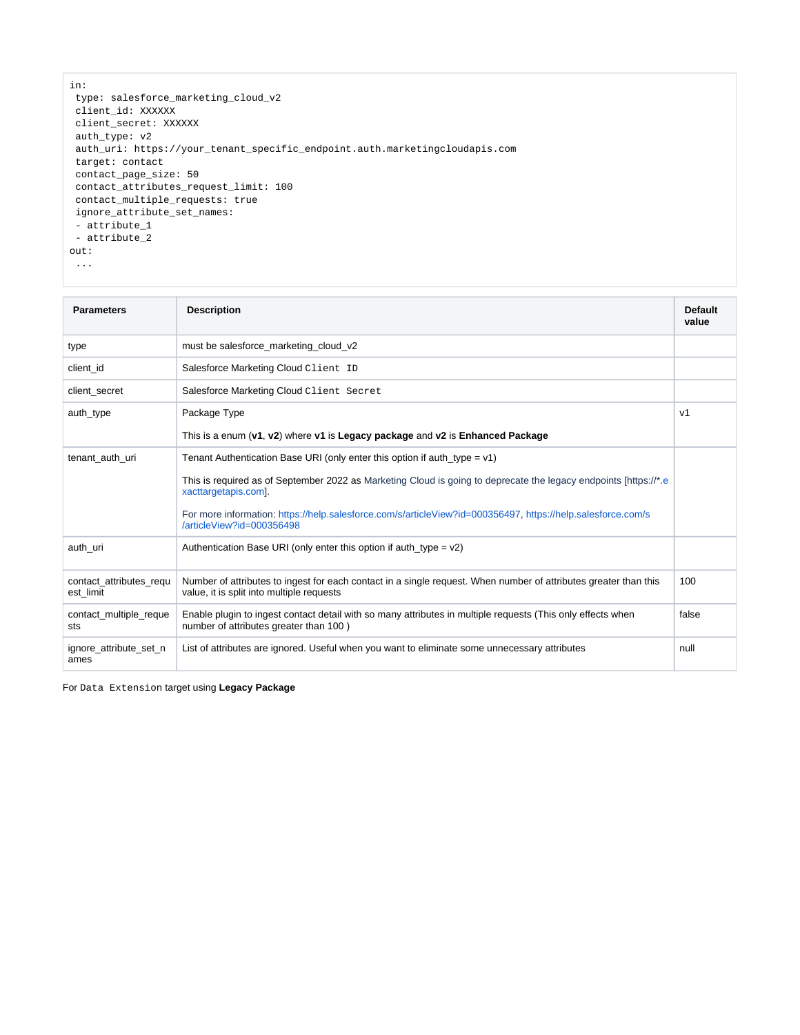```
in:
 type: salesforce_marketing_cloud_v2 
 client_id: XXXXXX 
 client_secret: XXXXXX 
 auth_type: v2
 auth_uri: https://your_tenant_specific_endpoint.auth.marketingcloudapis.com 
 target: contact 
 contact_page_size: 50 
 contact_attributes_request_limit: 100 
 contact_multiple_requests: true 
 ignore_attribute_set_names: 
 - attribute_1 
 - attribute_2
out: 
 ...
```

| <b>Parameters</b>                    | <b>Description</b>                                                                                                                                            | <b>Default</b><br>value |
|--------------------------------------|---------------------------------------------------------------------------------------------------------------------------------------------------------------|-------------------------|
| type                                 | must be salesforce marketing cloud v2                                                                                                                         |                         |
| client id                            | Salesforce Marketing Cloud Client ID                                                                                                                          |                         |
| client secret                        | Salesforce Marketing Cloud Client Secret                                                                                                                      |                         |
| auth type                            | Package Type                                                                                                                                                  | V <sub>1</sub>          |
|                                      | This is a enum (v1, v2) where v1 is Legacy package and v2 is Enhanced Package                                                                                 |                         |
| tenant auth uri                      | Tenant Authentication Base URI (only enter this option if auth_type = $v1$ )                                                                                  |                         |
|                                      | This is required as of September 2022 as Marketing Cloud is going to deprecate the legacy endpoints [https://*.e<br>xacttargetapis.com].                      |                         |
|                                      | For more information: https://help.salesforce.com/s/articleView?id=000356497, https://help.salesforce.com/s<br>/articleView?id=000356498                      |                         |
| auth uri                             | Authentication Base URI (only enter this option if auth type = $v2$ )                                                                                         |                         |
| contact attributes regu<br>est limit | Number of attributes to ingest for each contact in a single request. When number of attributes greater than this<br>value, it is split into multiple requests | 100                     |
| contact multiple reque<br>sts        | Enable plugin to ingest contact detail with so many attributes in multiple requests (This only effects when<br>number of attributes greater than 100)         | false                   |
| ignore_attribute_set_n<br>ames       | List of attributes are ignored. Useful when you want to eliminate some unnecessary attributes                                                                 | null                    |

For Data Extension target using **Legacy Package**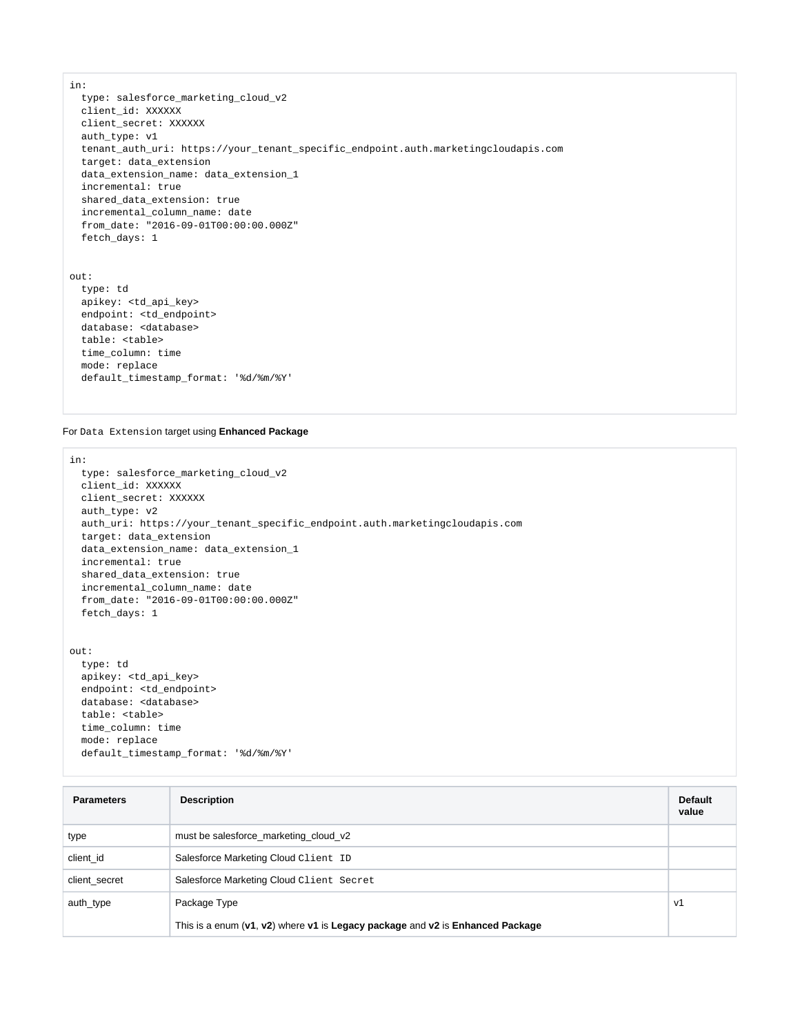in:

 type: salesforce\_marketing\_cloud\_v2 client\_id: XXXXXX client\_secret: XXXXXX auth\_type: v1 tenant\_auth\_uri: https://your\_tenant\_specific\_endpoint.auth.marketingcloudapis.com target: data\_extension data\_extension\_name: data\_extension\_1 incremental: true shared\_data\_extension: true incremental\_column\_name: date from\_date: "2016-09-01T00:00:00.000Z" fetch\_days: 1

```
out:
   type: td
   apikey: <td_api_key>
  endpoint: <td endpoint>
  database: <database>
  table: <table>
   time_column: time
   mode: replace
   default_timestamp_format: '%d/%m/%Y'
```
For Data Extension target using **Enhanced Package**

```
in: 
   type: salesforce_marketing_cloud_v2
   client_id: XXXXXX 
  client_secret: XXXXXX 
   auth_type: v2
   auth_uri: https://your_tenant_specific_endpoint.auth.marketingcloudapis.com
   target: data_extension 
   data_extension_name: data_extension_1
   incremental: true 
   shared_data_extension: true 
   incremental_column_name: date 
   from_date: "2016-09-01T00:00:00.000Z" 
   fetch_days: 1
out:
  type: td
```

```
 apikey: <td_api_key>
 endpoint: <td_endpoint>
 database: <database>
 table: <table>
 time_column: time
 mode: replace
 default_timestamp_format: '%d/%m/%Y'
```

| <b>Parameters</b> | <b>Description</b>                                                              | <b>Default</b><br>value |
|-------------------|---------------------------------------------------------------------------------|-------------------------|
| type              | must be salesforce_marketing_cloud_v2                                           |                         |
| client id         | Salesforce Marketing Cloud Client ID                                            |                         |
| client secret     | Salesforce Marketing Cloud Client Secret                                        |                         |
| auth_type         | Package Type                                                                    | V <sub>1</sub>          |
|                   | This is a enum $(v1, v2)$ where v1 is Legacy package and v2 is Enhanced Package |                         |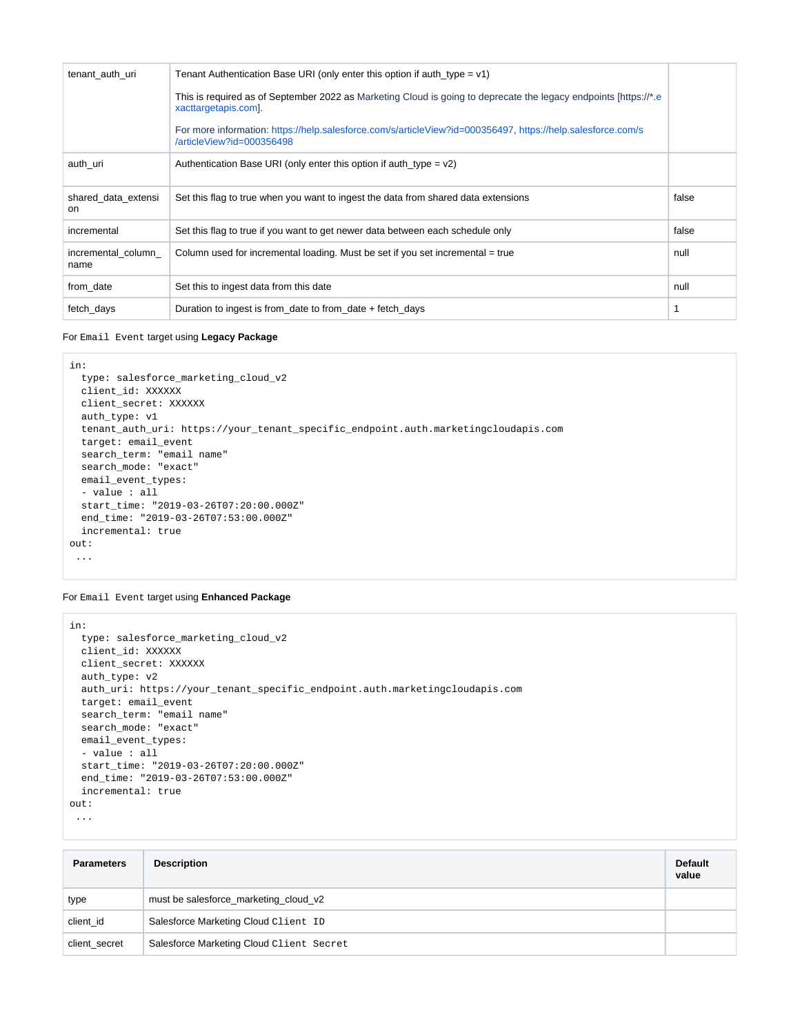| tenant auth uri                  | Tenant Authentication Base URI (only enter this option if auth type = $v1$ )                                                             |       |
|----------------------------------|------------------------------------------------------------------------------------------------------------------------------------------|-------|
|                                  | This is required as of September 2022 as Marketing Cloud is going to deprecate the legacy endpoints [https://*.e<br>xacttargetapis.com]. |       |
|                                  | For more information: https://help.salesforce.com/s/articleView?id=000356497, https://help.salesforce.com/s<br>/articleView?id=000356498 |       |
| auth_uri                         | Authentication Base URI (only enter this option if auth type = $v2$ )                                                                    |       |
| shared data extensi<br><b>on</b> | Set this flag to true when you want to ingest the data from shared data extensions                                                       | false |
| incremental                      | Set this flag to true if you want to get newer data between each schedule only                                                           | false |
| incremental column<br>name       | Column used for incremental loading. Must be set if you set incremental = true                                                           | null  |
| from_date                        | Set this to ingest data from this date                                                                                                   | null  |
| fetch_days                       | Duration to ingest is from_date to from_date + fetch_days                                                                                |       |

For Email Event target using **Legacy Package**

```
in: 
   type: salesforce_marketing_cloud_v2 
  client_id: XXXXXX 
  client_secret: XXXXXX 
  auth_type: v1
  tenant_auth_uri: https://your_tenant_specific_endpoint.auth.marketingcloudapis.com 
   target: email_event 
   search_term: "email name" 
  search_mode: "exact" 
  email_event_types: 
   - value : all 
  start_time: "2019-03-26T07:20:00.000Z" 
  end_time: "2019-03-26T07:53:00.000Z" 
   incremental: true
out: 
  ...
```
For Email Event target using **Enhanced Package**

```
in: 
   type: salesforce_marketing_cloud_v2 
  client_id: XXXXXX 
  client_secret: XXXXXX 
  auth_type: v2
   auth_uri: https://your_tenant_specific_endpoint.auth.marketingcloudapis.com 
   target: email_event 
  search_term: "email name" 
  search_mode: "exact" 
  email_event_types: 
   - value : all 
   start_time: "2019-03-26T07:20:00.000Z" 
   end_time: "2019-03-26T07:53:00.000Z" 
   incremental: true
out:
```

```
 ...
```

| <b>Parameters</b> | <b>Description</b>                       | <b>Default</b><br>value |
|-------------------|------------------------------------------|-------------------------|
| type              | must be salesforce_marketing_cloud_v2    |                         |
| client id         | Salesforce Marketing Cloud Client ID     |                         |
| client secret     | Salesforce Marketing Cloud Client Secret |                         |